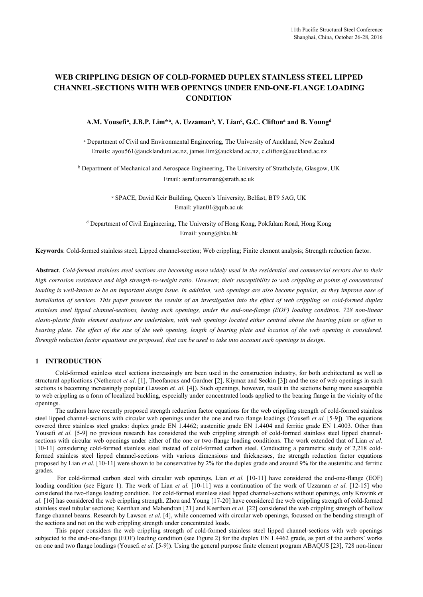# **WEB CRIPPLING DESIGN OF COLD-FORMED DUPLEX STAINLESS STEEL LIPPED CHANNEL-SECTIONS WITH WEB OPENINGS UNDER END-ONE-FLANGE LOADING CONDITION**

#### **A.M. Yousefi<sup>a</sup> , J.B.P. Lim\*<sup>a</sup> , A. Uzzaman<sup>b</sup> , Y. Lian<sup>c</sup> , G.C. Clifton<sup>a</sup> and B. Young<sup>d</sup>**

a Department of Civil and Environmental Engineering, The University of Auckland, New Zealand Emails: ayou561@aucklanduni.ac.nz, james.lim@auckland.ac.nz, c.clifton@auckland.ac.nz

<sup>b</sup> Department of Mechanical and Aerospace Engineering, The University of Strathclyde, Glasgow, UK Email: asraf.uzzaman@strath.ac.uk

> c SPACE, David Keir Building, Queen's University, Belfast, BT9 5AG, UK Email: ylian01@qub.ac.uk

d Department of Civil Engineering, The University of Hong Kong, Pokfulam Road, Hong Kong Email: young@hku.hk

**Keywords**: Cold-formed stainless steel; Lipped channel-section; Web crippling; Finite element analysis; Strength reduction factor.

**Abstract**. *Cold-formed stainless steel sections are becoming more widely used in the residential and commercial sectors due to their high corrosion resistance and high strength-to-weight ratio. However, their susceptibility to web crippling at points of concentrated loading is well-known to be an important design issue. In addition, web openings are also become popular, as they improve ease of installation of services. This paper presents the results of an investigation into the effect of web crippling on cold-formed duplex stainless steel lipped channel-sections, having such openings, under the end-one-flange (EOF) loading condition. 728 non-linear elasto-plastic finite element analyses are undertaken, with web openings located either centred above the bearing plate or offset to bearing plate. The effect of the size of the web opening, length of bearing plate and location of the web opening is considered. Strength reduction factor equations are proposed, that can be used to take into account such openings in design.* 

## **1 INTRODUCTION**

Cold-formed stainless steel sections increasingly are been used in the construction industry, for both architectural as well as structural applications (Nethercot *et al.* [1], Theofanous and Gardner [2], Kiymaz and Seckin [3]) and the use of web openings in such sections is becoming increasingly popular (Lawson *et. al.* [4]). Such openings, however, result in the sections being more susceptible to web crippling as a form of localized buckling, especially under concentrated loads applied to the bearing flange in the vicinity of the openings.

The authors have recently proposed strength reduction factor equations for the web crippling strength of cold-formed stainless steel lipped channel-sections with circular web openings under the one and two flange loadings (Yousefi *et al.* [5-9]**)**. The equations covered three stainless steel grades: duplex grade EN 1.4462; austenitic grade EN 1.4404 and ferritic grade EN 1.4003. Other than Yousefi *et al.* [5-9] no previous research has considered the web crippling strength of cold-formed stainless steel lipped channelsections with circular web openings under either of the one or two-flange loading conditions. The work extended that of Lian *et al.* [10-11] considering cold-formed stainless steel instead of cold-formed carbon steel. Conducting a parametric study of 2,218 coldformed stainless steel lipped channel-sections with various dimensions and thicknesses, the strength reduction factor equations proposed by Lian *et al.* [10-11] were shown to be conservative by 2% for the duplex grade and around 9% for the austenitic and ferritic grades.

 For cold-formed carbon steel with circular web openings, Lian *et al.* [10-11] have considered the end-one-flange (EOF) loading condition (see Figure 1). The work of Lian *et al.* [10-11] was a continuation of the work of Uzzaman *et al.* [12-15] who considered the two-flange loading condition. For cold-formed stainless steel lipped channel-sections without openings, only Krovink *et al.* [16] has considered the web crippling strength. Zhou and Young [17-20] have considered the web crippling strength of cold-formed stainless steel tubular sections; Keerthan and Mahendran [21] and Keerthan *et al.* [22] considered the web crippling strength of hollow flange channel beams. Research by Lawson et al. [4], while concerned with circular web openings, focussed on the bending strength of the sections and not on the web crippling strength under concentrated loads.

This paper considers the web crippling strength of cold-formed stainless steel lipped channel-sections with web openings subjected to the end-one-flange (EOF) loading condition (see Figure 2) for the duplex EN 1.4462 grade, as part of the authors' works on one and two flange loadings (Yousefi *et al.* [5-9]**)**. Using the general purpose finite element program ABAQUS [23], 728 non-linear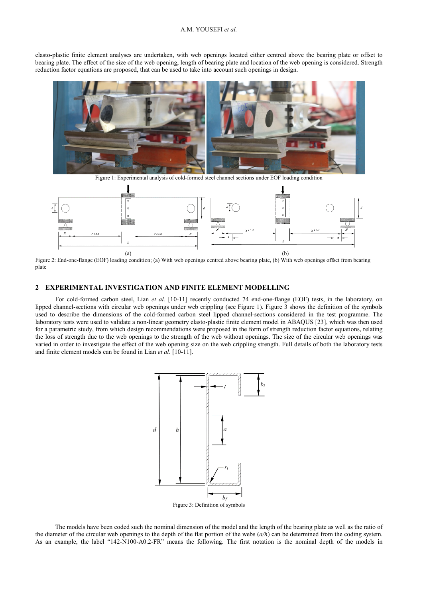elasto-plastic finite element analyses are undertaken, with web openings located either centred above the bearing plate or offset to bearing plate. The effect of the size of the web opening, length of bearing plate and location of the web opening is considered. Strength reduction factor equations are proposed, that can be used to take into account such openings in design.



Figure 1: Experimental analysis of cold-formed steel channel sections under EOF loading condition



Figure 2: End-one-flange (EOF) loading condition; (a) With web openings centred above bearing plate, (b) With web openings offset from bearing plate

### **2 EXPERIMENTAL INVESTIGATION AND FINITE ELEMENT MODELLING**

For cold-formed carbon steel, Lian et al. [10-11] recently conducted 74 end-one-flange (EOF) tests, in the laboratory, on lipped channel-sections with circular web openings under web crippling (see Figure 1). Figure 3 shows the definition of the symbols used to describe the dimensions of the cold-formed carbon steel lipped channel-sections considered in the test programme. The laboratory tests were used to validate a non-linear geometry elasto-plastic finite element model in ABAQUS [23], which was then used for a parametric study, from which design recommendations were proposed in the form of strength reduction factor equations, relating the loss of strength due to the web openings to the strength of the web without openings. The size of the circular web openings was varied in order to investigate the effect of the web opening size on the web crippling strength. Full details of both the laboratory tests and finite element models can be found in Lian *et al.* [10-11].



The models have been coded such the nominal dimension of the model and the length of the bearing plate as well as the ratio of the diameter of the circular web openings to the depth of the flat portion of the webs (*a/h*) can be determined from the coding system. As an example, the label "142-N100-A0.2-FR" means the following. The first notation is the nominal depth of the models in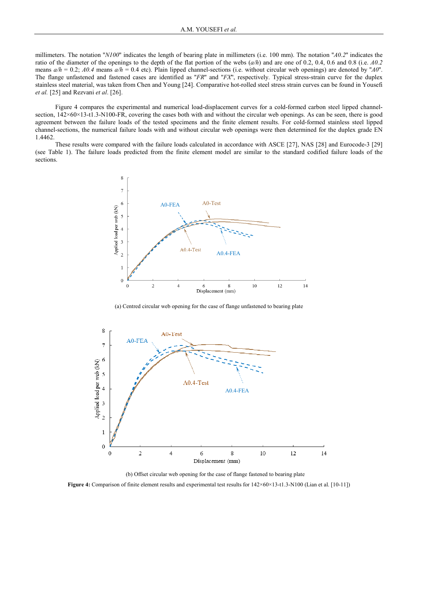millimeters. The notation "*N100*" indicates the length of bearing plate in millimeters (i.e. 100 mm). The notation "*A0.2*" indicates the ratio of the diameter of the openings to the depth of the flat portion of the webs (*a/h*) and are one of 0.2, 0.4, 0.6 and 0.8 (i.e. *A0.2* means  $a/h = 0.2$ ;  $A0.4$  means  $a/h = 0.4$  etc). Plain lipped channel-sections (i.e. without circular web openings) are denoted by " $A0$ ". The flange unfastened and fastened cases are identified as ''*FR*'' and ''*FX*'', respectively. Typical stress-strain curve for the duplex stainless steel material, was taken from Chen and Young [24]. Comparative hot-rolled steel stress strain curves can be found in Yousefi *et al.* [25] and Rezvani *et al*. [26].

Figure 4 compares the experimental and numerical load-displacement curves for a cold-formed carbon steel lipped channelsection,  $142\times60\times13$ -t1.3-N100-FR, covering the cases both with and without the circular web openings. As can be seen, there is good agreement between the failure loads of the tested specimens and the finite element results. For cold-formed stainless steel lipped channel-sections, the numerical failure loads with and without circular web openings were then determined for the duplex grade EN 1.4462.

These results were compared with the failure loads calculated in accordance with ASCE [27], NAS [28] and Eurocode-3 [29] (see Table 1). The failure loads predicted from the finite element model are similar to the standard codified failure loads of the sections.



(a) Centred circular web opening for the case of flange unfastened to bearing plate



(b) Offset circular web opening for the case of flange fastened to bearing plate

**Figure 4:** Comparison of finite element results and experimental test results for 142×60×13-t1.3-N100 (Lian et al. [10-11])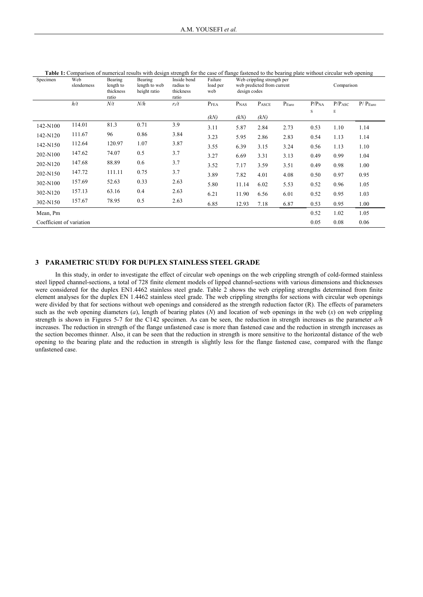| Specimen                 | Web<br>slenderness | Bearing<br>length to<br>thickness<br>ratio | Table 1. Comparison of numerical results with acsign strength for the ease of nange fastence to the bearing plate without encurar web opening<br>Bearing<br>length to web<br>height ratio | Inside bend<br>radius to<br>thickness<br>ratio | Failure<br>load per<br>web | Web crippling strength per<br>web predicted from current<br>design codes |       |       |                   | Comparison         |                        |  |
|--------------------------|--------------------|--------------------------------------------|-------------------------------------------------------------------------------------------------------------------------------------------------------------------------------------------|------------------------------------------------|----------------------------|--------------------------------------------------------------------------|-------|-------|-------------------|--------------------|------------------------|--|
|                          | h/t                | N/t                                        | N/h                                                                                                                                                                                       | $r_i/t$                                        | P <sub>FEA</sub>           | P <sub>NAS</sub>                                                         | PASCE | PEuro | P/P <sub>NA</sub> | P/P <sub>ASC</sub> | $P/$ $P_{\text{Euro}}$ |  |
|                          |                    |                                            |                                                                                                                                                                                           |                                                | (kN)                       | (kN)                                                                     | (kN)  |       | S                 | Е                  |                        |  |
| 142-N100                 | 114.01             | 81.3                                       | 0.71                                                                                                                                                                                      | 3.9                                            | 3.11                       | 5.87                                                                     | 2.84  | 2.73  | 0.53              | 1.10               | 1.14                   |  |
| 142-N120                 | 111.67             | 96                                         | 0.86                                                                                                                                                                                      | 3.84                                           | 3.23                       | 5.95                                                                     | 2.86  | 2.83  | 0.54              | 1.13               | 1.14                   |  |
| 142-N150                 | 112.64             | 120.97                                     | 1.07                                                                                                                                                                                      | 3.87                                           | 3.55                       | 6.39                                                                     | 3.15  | 3.24  | 0.56              | 1.13               | 1.10                   |  |
| 202-N100                 | 147.62             | 74.07                                      | 0.5                                                                                                                                                                                       | 3.7                                            | 3.27                       | 6.69                                                                     | 3.31  | 3.13  | 0.49              | 0.99               | 1.04                   |  |
| 202-N120                 | 147.68             | 88.89                                      | 0.6                                                                                                                                                                                       | 3.7                                            | 3.52                       | 7.17                                                                     | 3.59  | 3.51  | 0.49              | 0.98               | 1.00                   |  |
| 202-N150                 | 147.72             | 111.11                                     | 0.75                                                                                                                                                                                      | 3.7                                            | 3.89                       | 7.82                                                                     | 4.01  | 4.08  | 0.50              | 0.97               | 0.95                   |  |
| 302-N100                 | 157.69             | 52.63                                      | 0.33                                                                                                                                                                                      | 2.63                                           | 5.80                       | 11.14                                                                    | 6.02  | 5.53  | 0.52              | 0.96               | 1.05                   |  |
| 302-N120                 | 157.13             | 63.16                                      | 0.4                                                                                                                                                                                       | 2.63                                           | 6.21                       | 11.90                                                                    | 6.56  | 6.01  | 0.52              | 0.95               | 1.03                   |  |
| 302-N150                 | 157.67             | 78.95                                      | 0.5                                                                                                                                                                                       | 2.63                                           | 6.85                       | 12.93                                                                    | 7.18  | 6.87  | 0.53              | 0.95               | 1.00                   |  |
| Mean, Pm                 |                    |                                            |                                                                                                                                                                                           |                                                |                            |                                                                          |       |       | 0.52              | 1.02               | 1.05                   |  |
| Coefficient of variation |                    |                                            |                                                                                                                                                                                           |                                                |                            |                                                                          |       |       | 0.05              | 0.08               | 0.06                   |  |

| . Comparison of numerical results with design strength for the case of flange fastened to the bearing plate without circular web opening.<br>Table 1. |  |  |
|-------------------------------------------------------------------------------------------------------------------------------------------------------|--|--|
|                                                                                                                                                       |  |  |

#### **3 PARAMETRIC STUDY FOR DUPLEX STAINLESS STEEL GRADE**

In this study, in order to investigate the effect of circular web openings on the web crippling strength of cold-formed stainless steel lipped channel-sections, a total of 728 finite element models of lipped channel-sections with various dimensions and thicknesses were considered for the duplex EN1.4462 stainless steel grade. Table 2 shows the web crippling strengths determined from finite element analyses for the duplex EN 1.4462 stainless steel grade. The web crippling strengths for sections with circular web openings were divided by that for sections without web openings and considered as the strength reduction factor (R). The effects of parameters such as the web opening diameters (*a*), length of bearing plates (*N*) and location of web openings in the web (*x*) on web crippling strength is shown in Figures 5-7 for the C142 specimen. As can be seen, the reduction in strength increases as the parameter *a/h* increases. The reduction in strength of the flange unfastened case is more than fastened case and the reduction in strength increases as the section becomes thinner. Also, it can be seen that the reduction in strength is more sensitive to the horizontal distance of the web opening to the bearing plate and the reduction in strength is slightly less for the flange fastened case, compared with the flange unfastened case.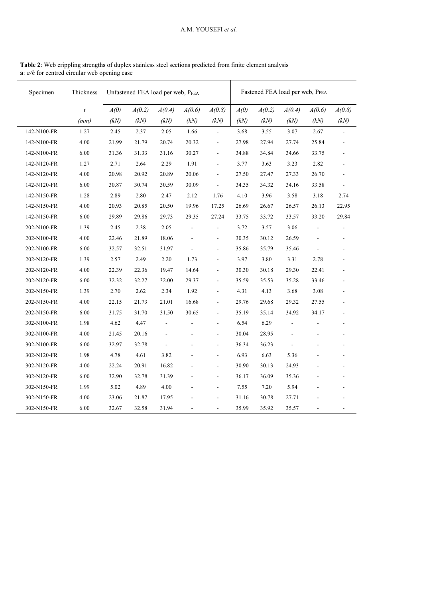| Specimen    | Thickness        | Unfastened FEA load per web, PFEA |        |                |                | Fastened FEA load per web, PFEA |       |        |                |                              |                          |
|-------------|------------------|-----------------------------------|--------|----------------|----------------|---------------------------------|-------|--------|----------------|------------------------------|--------------------------|
|             | $\boldsymbol{t}$ | A(0)                              | A(0.2) | A(0.4)         | A(0.6)         | A(0.8)                          | A(0)  | A(0.2) | A(0.4)         | A(0.6)                       | A(0.8)                   |
|             | (mm)             | (kN)                              | (kN)   | (kN)           | (kN)           | (kN)                            | (kN)  | (kN)   | (kN)           | (kN)                         | (kN)                     |
| 142-N100-FR | 1.27             | 2.45                              | 2.37   | 2.05           | 1.66           | ÷,                              | 3.68  | 3.55   | 3.07           | 2.67                         |                          |
| 142-N100-FR | 4.00             | 21.99                             | 21.79  | 20.74          | 20.32          | $\overline{\phantom{a}}$        | 27.98 | 27.94  | 27.74          | 25.84                        |                          |
| 142-N100-FR | 6.00             | 31.36                             | 31.33  | 31.16          | 30.27          | $\overline{\phantom{a}}$        | 34.88 | 34.84  | 34.66          | 33.75                        |                          |
| 142-N120-FR | 1.27             | 2.71                              | 2.64   | 2.29           | 1.91           | $\overline{\phantom{a}}$        | 3.77  | 3.63   | 3.23           | 2.82                         |                          |
| 142-N120-FR | 4.00             | 20.98                             | 20.92  | 20.89          | 20.06          | $\blacksquare$                  | 27.50 | 27.47  | 27.33          | 26.70                        | $\sim$                   |
| 142-N120-FR | 6.00             | 30.87                             | 30.74  | 30.59          | 30.09          | $\overline{\phantom{a}}$        | 34.35 | 34.32  | 34.16          | 33.58                        | $\overline{a}$           |
| 142-N150-FR | 1.28             | 2.89                              | 2.80   | 2.47           | 2.12           | 1.76                            | 4.10  | 3.96   | 3.58           | 3.18                         | 2.74                     |
| 142-N150-FR | 4.00             | 20.93                             | 20.85  | 20.50          | 19.96          | 17.25                           | 26.69 | 26.67  | 26.57          | 26.13                        | 22.95                    |
| 142-N150-FR | 6.00             | 29.89                             | 29.86  | 29.73          | 29.35          | 27.24                           | 33.75 | 33.72  | 33.57          | 33.20                        | 29.84                    |
| 202-N100-FR | 1.39             | 2.45                              | 2.38   | 2.05           | $\overline{a}$ | $\blacksquare$                  | 3.72  | 3.57   | 3.06           |                              |                          |
| 202-N100-FR | 4.00             | 22.46                             | 21.89  | 18.06          |                | $\overline{\phantom{a}}$        | 30.35 | 30.12  | 26.59          | ÷,                           |                          |
| 202-N100-FR | 6.00             | 32.57                             | 32.51  | 31.97          | $\blacksquare$ | $\overline{\phantom{a}}$        | 35.86 | 35.79  | 35.46          | ÷,                           | $\sim$                   |
| 202-N120-FR | 1.39             | 2.57                              | 2.49   | 2.20           | 1.73           | $\blacksquare$                  | 3.97  | 3.80   | 3.31           | 2.78                         |                          |
| 202-N120-FR | 4.00             | 22.39                             | 22.36  | 19.47          | 14.64          | $\overline{\phantom{a}}$        | 30.30 | 30.18  | 29.30          | 22.41                        |                          |
| 202-N120-FR | 6.00             | 32.32                             | 32.27  | 32.00          | 29.37          | $\blacksquare$                  | 35.59 | 35.53  | 35.28          | 33.46                        |                          |
| 202-N150-FR | 1.39             | 2.70                              | 2.62   | 2.34           | 1.92           | $\overline{\phantom{a}}$        | 4.31  | 4.13   | 3.68           | 3.08                         | $\blacksquare$           |
| 202-N150-FR | 4.00             | 22.15                             | 21.73  | 21.01          | 16.68          | $\overline{\phantom{a}}$        | 29.76 | 29.68  | 29.32          | 27.55                        |                          |
| 202-N150-FR | 6.00             | 31.75                             | 31.70  | 31.50          | 30.65          | $\blacksquare$                  | 35.19 | 35.14  | 34.92          | 34.17                        |                          |
| 302-N100-FR | 1.98             | 4.62                              | 4.47   | $\overline{a}$ | L,             | $\blacksquare$                  | 6.54  | 6.29   | $\overline{a}$ | L,                           | $\sim$                   |
| 302-N100-FR | 4.00             | 21.45                             | 20.16  | $\overline{a}$ |                | ÷,                              | 30.04 | 28.95  | $\overline{a}$ |                              |                          |
| 302-N100-FR | 6.00             | 32.97                             | 32.78  | $\overline{a}$ |                | $\overline{\phantom{a}}$        | 36.34 | 36.23  | L.             |                              |                          |
| 302-N120-FR | 1.98             | 4.78                              | 4.61   | 3.82           |                | $\blacksquare$                  | 6.93  | 6.63   | 5.36           |                              |                          |
| 302-N120-FR | 4.00             | 22.24                             | 20.91  | 16.82          |                | $\overline{\phantom{a}}$        | 30.90 | 30.13  | 24.93          |                              | $\blacksquare$           |
| 302-N120-FR | 6.00             | 32.90                             | 32.78  | 31.39          |                | $\blacksquare$                  | 36.17 | 36.09  | 35.36          |                              |                          |
| 302-N150-FR | 1.99             | 5.02                              | 4.89   | 4.00           |                | $\blacksquare$                  | 7.55  | 7.20   | 5.94           |                              |                          |
| 302-N150-FR | 4.00             | 23.06                             | 21.87  | 17.95          |                | $\overline{\phantom{a}}$        | 31.16 | 30.78  | 27.71          |                              |                          |
| 302-N150-FR | 6.00             | 32.67                             | 32.58  | 31.94          | $\overline{a}$ | $\overline{\phantom{a}}$        | 35.99 | 35.92  | 35.57          | $\qquad \qquad \blacksquare$ | $\overline{\phantom{a}}$ |

**Table 2**: Web crippling strengths of duplex stainless steel sections predicted from finite element analysis **a**: *a/h* for centred circular web opening case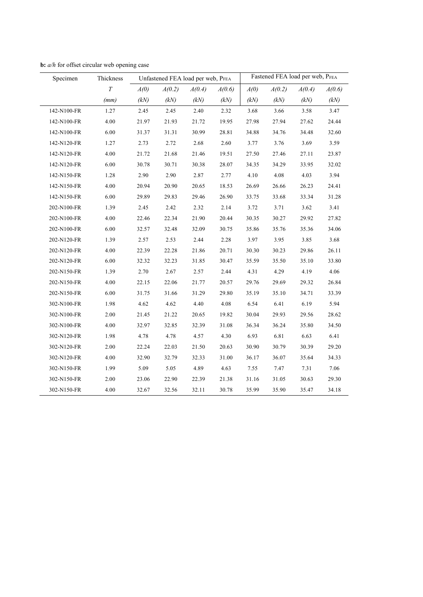| Specimen    | Thickness | Unfastened FEA load per web, PFEA |        |        |        | Fastened FEA load per web, PFEA |        |        |        |
|-------------|-----------|-----------------------------------|--------|--------|--------|---------------------------------|--------|--------|--------|
|             | $\cal T$  | A(0)                              | A(0.2) | A(0.4) | A(0.6) | A(0)                            | A(0.2) | A(0.4) | A(0.6) |
|             | (mm)      | (kN)                              | (kN)   | (kN)   | (kN)   | (kN)                            | (kN)   | (kN)   | (kN)   |
| 142-N100-FR | 1.27      | 2.45                              | 2.45   | 2.40   | 2.32   | 3.68                            | 3.66   | 3.58   | 3.47   |
| 142-N100-FR | 4.00      | 21.97                             | 21.93  | 21.72  | 19.95  | 27.98                           | 27.94  | 27.62  | 24.44  |
| 142-N100-FR | 6.00      | 31.37                             | 31.31  | 30.99  | 28.81  | 34.88                           | 34.76  | 34.48  | 32.60  |
| 142-N120-FR | 1.27      | 2.73                              | 2.72   | 2.68   | 2.60   | 3.77                            | 3.76   | 3.69   | 3.59   |
| 142-N120-FR | 4.00      | 21.72                             | 21.68  | 21.46  | 19.51  | 27.50                           | 27.46  | 27.11  | 23.87  |
| 142-N120-FR | 6.00      | 30.78                             | 30.71  | 30.38  | 28.07  | 34.35                           | 34.29  | 33.95  | 32.02  |
| 142-N150-FR | 1.28      | 2.90                              | 2.90   | 2.87   | 2.77   | 4.10                            | 4.08   | 4.03   | 3.94   |
| 142-N150-FR | 4.00      | 20.94                             | 20.90  | 20.65  | 18.53  | 26.69                           | 26.66  | 26.23  | 24.41  |
| 142-N150-FR | 6.00      | 29.89                             | 29.83  | 29.46  | 26.90  | 33.75                           | 33.68  | 33.34  | 31.28  |
| 202-N100-FR | 1.39      | 2.45                              | 2.42   | 2.32   | 2.14   | 3.72                            | 3.71   | 3.62   | 3.41   |
| 202-N100-FR | 4.00      | 22.46                             | 22.34  | 21.90  | 20.44  | 30.35                           | 30.27  | 29.92  | 27.82  |
| 202-N100-FR | 6.00      | 32.57                             | 32.48  | 32.09  | 30.75  | 35.86                           | 35.76  | 35.36  | 34.06  |
| 202-N120-FR | 1.39      | 2.57                              | 2.53   | 2.44   | 2.28   | 3.97                            | 3.95   | 3.85   | 3.68   |
| 202-N120-FR | 4.00      | 22.39                             | 22.28  | 21.86  | 20.71  | 30.30                           | 30.23  | 29.86  | 26.11  |
| 202-N120-FR | 6.00      | 32.32                             | 32.23  | 31.85  | 30.47  | 35.59                           | 35.50  | 35.10  | 33.80  |
| 202-N150-FR | 1.39      | 2.70                              | 2.67   | 2.57   | 2.44   | 4.31                            | 4.29   | 4.19   | 4.06   |
| 202-N150-FR | 4.00      | 22.15                             | 22.06  | 21.77  | 20.57  | 29.76                           | 29.69  | 29.32  | 26.84  |
| 202-N150-FR | 6.00      | 31.75                             | 31.66  | 31.29  | 29.80  | 35.19                           | 35.10  | 34.71  | 33.39  |
| 302-N100-FR | 1.98      | 4.62                              | 4.62   | 4.40   | 4.08   | 6.54                            | 6.41   | 6.19   | 5.94   |
| 302-N100-FR | 2.00      | 21.45                             | 21.22  | 20.65  | 19.82  | 30.04                           | 29.93  | 29.56  | 28.62  |
| 302-N100-FR | 4.00      | 32.97                             | 32.85  | 32.39  | 31.08  | 36.34                           | 36.24  | 35.80  | 34.50  |
| 302-N120-FR | 1.98      | 4.78                              | 4.78   | 4.57   | 4.30   | 6.93                            | 6.81   | 6.63   | 6.41   |
| 302-N120-FR | 2.00      | 22.24                             | 22.03  | 21.50  | 20.63  | 30.90                           | 30.79  | 30.39  | 29.20  |
| 302-N120-FR | 4.00      | 32.90                             | 32.79  | 32.33  | 31.00  | 36.17                           | 36.07  | 35.64  | 34.33  |
| 302-N150-FR | 1.99      | 5.09                              | 5.05   | 4.89   | 4.63   | 7.55                            | 7.47   | 7.31   | 7.06   |
| 302-N150-FR | 2.00      | 23.06                             | 22.90  | 22.39  | 21.38  | 31.16                           | 31.05  | 30.63  | 29.30  |
| 302-N150-FR | 4.00      | 32.67                             | 32.56  | 32.11  | 30.78  | 35.99                           | 35.90  | 35.47  | 34.18  |

**b:** *a/h* for offset circular web opening case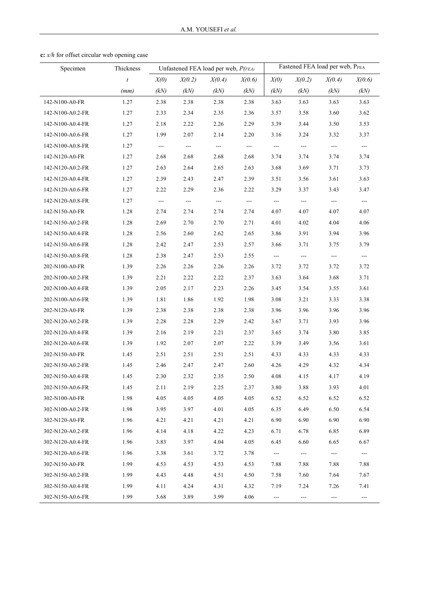| Specimen         | Thickness        | Unfastened FEA load per web, P(FEA) |                          |               | Fastened FEA load per web, PFEA |                     |                          |                           |                      |
|------------------|------------------|-------------------------------------|--------------------------|---------------|---------------------------------|---------------------|--------------------------|---------------------------|----------------------|
|                  | $\boldsymbol{t}$ | X(0)                                | X(0.2)                   | X(0.4)        | X(0.6)                          | X(0)                | X(0.2)                   | X(0.4)                    | X(0.6)               |
|                  | (mm)             | (kN)                                | (kN)                     | (kN)          | (kN)                            | (kN)                | (kN)                     | (kN)                      | (kN)                 |
| 142-N100-A0-FR   | 1.27             | 2.38                                | 2.38                     | 2.38          | 2.38                            | 3.63                | 3.63                     | 3.63                      | 3.63                 |
| 142-N100-A0.2-FR | 1.27             | 2.33                                | 2.34                     | 2.35          | 2.36                            | 3.57                | 3.58                     | 3.60                      | 3.62                 |
| 142-N100-A0.4-FR | 1.27             | 2.18                                | 2.22                     | 2.26          | 2.29                            | 3.39                | 3.44                     | 3.50                      | 3.53                 |
| 142-N100-A0.6-FR | 1.27             | 1.99                                | 2.07                     | 2.14          | 2.20                            | 3.16                | 3.24                     | 3.32                      | 3.37                 |
| 142-N100-A0.8-FR | 1.27             | $\sim$                              | $\sim$ $\sim$            | $\sim$ $\sim$ | $\sim$ $\sim$                   | $\sim$ $\sim$       | $\sim$                   | $---$                     | $\sim$               |
| 142-N120-A0-FR   | 1.27             | 2.68                                | 2.68                     | 2.68          | 2.68                            | 3.74                | 3.74                     | 3.74                      | 3.74                 |
| 142-N120-A0.2-FR | 1.27             | 2.63                                | 2.64                     | 2.65          | 2.63                            | 3.68                | 3.69                     | 3.71                      | 3.73                 |
| 142-N120-A0.4-FR | 1.27             | 2.39                                | 2.43                     | 2.47          | 2.39                            | 3.51                | 3.56                     | 3.61                      | 3.63                 |
| 142-N120-A0.6-FR | 1.27             | 2.22                                | 2.29                     | 2.36          | 2.22                            | 3.29                | 3.37                     | 3.43                      | 3.47                 |
| 142-N120-A0.8-FR | 1.27             | $\hspace{0.05cm} \ldots$            | $\hspace{0.05cm} \ldots$ | $\sim$ $\sim$ | $\sim$ $\sim$                   | $\frac{1}{2}$       | $\sim$                   | $\qquad \qquad -\qquad -$ | $\frac{1}{2}$        |
| 142-N150-A0-FR   | 1.28             | 2.74                                | 2.74                     | 2.74          | 2.74                            | 4.07                | 4.07                     | 4.07                      | 4.07                 |
| 142-N150-A0.2-FR | 1.28             | 2.69                                | 2.70                     | 2.70          | 2.71                            | 4.01                | 4.02                     | 4.04                      | 4.06                 |
| 142-N150-A0.4-FR | 1.28             | 2.56                                | 2.60                     | 2.62          | 2.65                            | 3.86                | 3.91                     | 3.94                      | 3.96                 |
| 142-N150-A0.6-FR | 1.28             | 2.42                                | 2.47                     | 2.53          | 2.57                            | 3.66                | 3.71                     | 3.75                      | 3.79                 |
| 142-N150-A0.8-FR | 1.28             | 2.38                                | 2.47                     | 2.53          | 2.55                            | $\sim$              | $\sim$                   | $\frac{1}{2}$             | $\sim$               |
| 202-N100-A0-FR   | 1.39             | 2.26                                | 2.26                     | 2.26          | 2.26                            | 3.72                | 3.72                     | 3.72                      | 3.72                 |
| 202-N100-A0.2-FR | 1.39             | 2.21                                | 2.22                     | 2.22          | 2.37                            | 3.63                | 3.64                     | 3.68                      | 3.71                 |
| 202-N100-A0.4-FR | 1.39             | 2.05                                | 2.17                     | 2.23          | 2.26                            | 3.45                | 3.54                     | 3.55                      | 3.61                 |
| 202-N100-A0.6-FR | 1.39             | 1.81                                | 1.86                     | 1.92          | 1.98                            | 3.08                | 3.21                     | 3.33                      | 3.38                 |
| 202-N120-A0-FR   | 1.39             | 2.38                                | 2.38                     | 2.38          | 2.38                            | 3.96                | 3.96                     | 3.96                      | 3.96                 |
| 202-N120-A0.2-FR | 1.39             | 2.28                                | 2.28                     | 2.29          | 2.42                            | 3.67                | 3.71                     | 3.93                      | 3.96                 |
| 202-N120-A0.4-FR | 1.39             | 2.16                                | 2.19                     | 2.21          | 2.37                            | 3.65                | 3.74                     | 3.80                      | 3.85                 |
| 202-N120-A0.6-FR | 1.39             | 1.92                                | 2.07                     | 2.07          | 2.22                            | 3.39                | 3.49                     | 3.56                      | 3.61                 |
| 202-N150-A0-FR   | 1.45             | 2.51                                | 2.51                     | 2.51          | 2.51                            | 4.33                | 4.33                     | 4.33                      | 4.33                 |
| 202-N150-A0.2-FR | 1.45             | 2.46                                | 2.47                     | 2.47          | 2.60                            | 4.26                | 4.29                     | 4.32                      | 4.34                 |
| 202-N150-A0.4-FR | 1.45             | 2.30                                | 2.32                     | 2.35          | 2.50                            | 4.08                | 4.15                     | 4.17                      | 4.19                 |
| 202-N150-A0.6-FR | 1.45             | 2.11                                | 2.19                     | 2.25          | 2.37                            | 3.80                | 3.88                     | 3.93                      | 4.01                 |
| 302-N100-A0-FR   | 1.98             | 4.05                                | 4.05                     | 4.05          | 4.05                            | 6.52                | 6.52                     | 6.52                      | 6.52                 |
| 302-N100-A0.2-FR | 1.98             | 3.95                                | 3.97                     | 4.01          | 4.05                            | 6.35                | 6.49                     | 6.50                      | 6.54                 |
| 302-N120-A0-FR   | 1.96             | 4.21                                | 4.21                     | 4.21          | 4.21                            | 6.90                | 6.90                     | 6.90                      | 6.90                 |
| 302-N120-A0.2-FR | 1.96             | 4.14                                | 4.18                     | 4.22          | 4.23                            | 6.71                | 6.78                     | 6.85                      | 6.89                 |
| 302-N120-A0.4-FR | 1.96             | 3.83                                | 3.97                     | 4.04          | 4.05                            | 6.45                | 6.60                     | 6.65                      | 6.67                 |
| 302-N120-A0.6-FR | 1.96             | 3.38                                | 3.61                     | 3.72          | 3.78                            | ---                 | $\hspace{0.05cm} \ldots$ | ---                       | $\scriptstyle\cdots$ |
| 302-N150-A0-FR   | 1.99             | 4.53                                | 4.53                     | 4.53          | 4.53                            | 7.88                | 7.88                     | 7.88                      | 7.88                 |
| 302-N150-A0.2-FR | 1.99             | 4.43                                | 4.48                     | 4.51          | 4.50                            | 7.58                | 7.60                     | 7.64                      | 7.67                 |
| 302-N150-A0.4-FR | 1.99             | 4.11                                | 4.24                     | 4.31          | 4.32                            | 7.19                | 7.24                     | 7.26                      | 7.41                 |
| 302-N150-A0.6-FR | 1.99             | 3.68                                | 3.89                     | 3.99          | 4.06                            | $\qquad \qquad - -$ | ---                      | $\qquad \qquad -$         | ---                  |

**c:** *x/h* for offset circular web opening case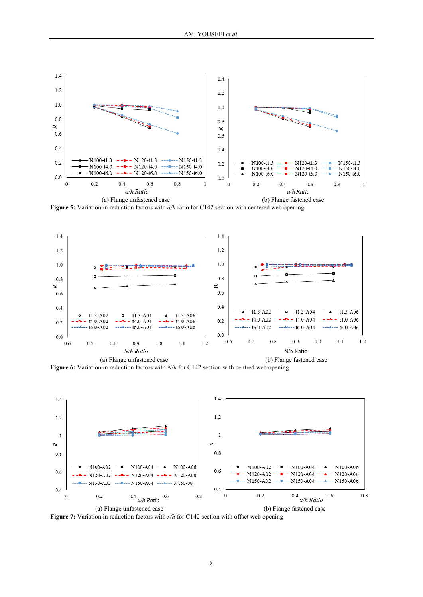

**Figure 5:** Variation in reduction factors with *a/h* ratio for C142 section with centered web opening



 (a) Flange unfastened case (b) Flange fastened case **Figure 6:** Variation in reduction factors with *N/h* for C142 section with centred web opening



**Figure 7:** Variation in reduction factors with  $x/h$  for C142 section with offset web opening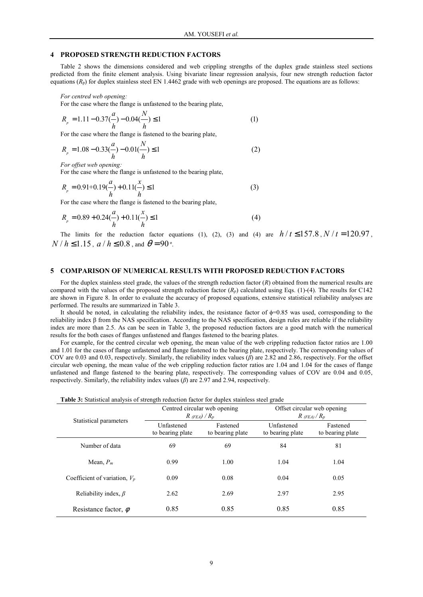#### **4 PROPOSED STRENGTH REDUCTION FACTORS**

Table 2 shows the dimensions considered and web crippling strengths of the duplex grade stainless steel sections predicted from the finite element analysis. Using bivariate linear regression analysis, four new strength reduction factor equations  $(R_p)$  for duplex stainless steel EN 1.4462 grade with web openings are proposed. The equations are as follows:

*For centred web opening:* 

For the case where the flange is unfastened to the bearing plate,

$$
R_p = 1.11 - 0.37 \left(\frac{a}{h}\right) - 0.04 \left(\frac{N}{h}\right) \le 1\tag{1}
$$

For the case where the flange is fastened to the bearing plate,

$$
R_p = 1.08 - 0.33\left(\frac{a}{h}\right) - 0.01\left(\frac{N}{h}\right) \le 1\tag{2}
$$

*For offset web opening:* 

For the case where the flange is unfastened to the bearing plate,

$$
R_p = 0.91 + 0.19\left(\frac{a}{h}\right) + 0.11\left(\frac{x}{h}\right) \le 1\tag{3}
$$

For the case where the flange is fastened to the bearing plate,

$$
R_p = 0.89 + 0.24\left(\frac{a}{h}\right) + 0.11\left(\frac{x}{h}\right) \le 1\tag{4}
$$

The limits for the reduction factor equations (1), (2), (3) and (4) are  $h/t \le 157.8$ ,  $N/t = 120.97$ ,  $N/h \le 1.15$ ,  $a/h \le 0.8$ , and  $\theta = 90$ °.

#### **5 COMPARISON OF NUMERICAL RESULTS WITH PROPOSED REDUCTION FACTORS**

For the duplex stainless steel grade, the values of the strength reduction factor (*R*) obtained from the numerical results are compared with the values of the proposed strength reduction factor  $(R_p)$  calculated using Eqs. (1)-(4). The results for C142 are shown in Figure 8. In order to evaluate the accuracy of proposed equations, extensive statistical reliability analyses are performed. The results are summarized in Table 3.

It should be noted, in calculating the reliability index, the resistance factor of  $\phi$ =0.85 was used, corresponding to the reliability index β from the NAS specification. According to the NAS specification, design rules are reliable if the reliability index are more than 2.5. As can be seen in Table 3, the proposed reduction factors are a good match with the numerical results for the both cases of flanges unfastened and flanges fastened to the bearing plates.

For example, for the centred circular web opening, the mean value of the web crippling reduction factor ratios are 1.00 and 1.01 for the cases of flange unfastened and flange fastened to the bearing plate, respectively. The corresponding values of COV are 0.03 and 0.03, respectively. Similarly, the reliability index values (*β*) are 2.82 and 2.86, respectively. For the offset circular web opening, the mean value of the web crippling reduction factor ratios are 1.04 and 1.04 for the cases of flange unfastened and flange fastened to the bearing plate, respectively. The corresponding values of COV are 0.04 and 0.05, respectively. Similarly, the reliability index values (*β*) are 2.97 and 2.94, respectively.

| <b>Table 3:</b> Statistical analysis of strength reduction factor for duplex stainless steel grade |                                |                                                   |                                                  |                              |  |  |  |  |  |  |
|----------------------------------------------------------------------------------------------------|--------------------------------|---------------------------------------------------|--------------------------------------------------|------------------------------|--|--|--|--|--|--|
|                                                                                                    |                                | Centred circular web opening<br>$R$ (FEA) / $R_p$ | Offset circular web opening<br>$R$ (FEA) / $R_p$ |                              |  |  |  |  |  |  |
| Statistical parameters                                                                             | Unfastened<br>to bearing plate | Fastened<br>to bearing plate                      | Unfastened<br>to bearing plate                   | Fastened<br>to bearing plate |  |  |  |  |  |  |
| Number of data                                                                                     | 69                             | 69                                                | 84                                               | 81                           |  |  |  |  |  |  |
| Mean, $P_m$                                                                                        | 0.99                           | 1.00                                              | 1.04                                             | 1.04                         |  |  |  |  |  |  |
| Coefficient of variation, $V_p$                                                                    | 0.09                           | 0.08                                              | 0.04                                             | 0.05                         |  |  |  |  |  |  |
| Reliability index, $\beta$                                                                         | 2.62                           | 2.69                                              | 2.97                                             | 2.95                         |  |  |  |  |  |  |
| Resistance factor, $\phi$                                                                          | 0.85                           | 0.85                                              | 0.85                                             | 0.85                         |  |  |  |  |  |  |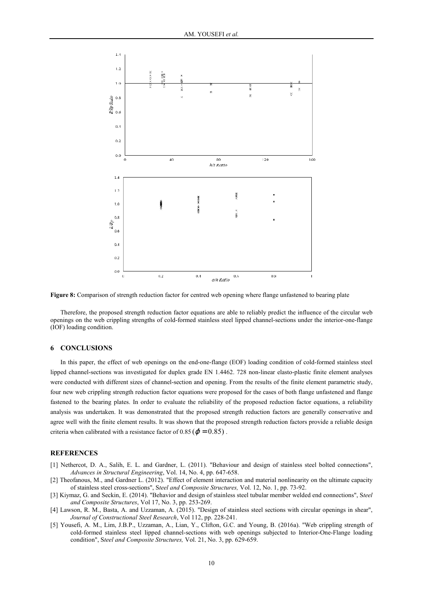

**Figure 8:** Comparison of strength reduction factor for centred web opening where flange unfastened to bearing plate

Therefore, the proposed strength reduction factor equations are able to reliably predict the influence of the circular web openings on the web crippling strengths of cold-formed stainless steel lipped channel-sections under the interior-one-flange (IOF) loading condition.

#### **6 CONCLUSIONS**

In this paper, the effect of web openings on the end-one-flange (EOF) loading condition of cold-formed stainless steel lipped channel-sections was investigated for duplex grade EN 1.4462. 728 non-linear elasto-plastic finite element analyses were conducted with different sizes of channel-section and opening. From the results of the finite element parametric study, four new web crippling strength reduction factor equations were proposed for the cases of both flange unfastened and flange fastened to the bearing plates. In order to evaluate the reliability of the proposed reduction factor equations, a reliability analysis was undertaken. It was demonstrated that the proposed strength reduction factors are generally conservative and agree well with the finite element results. It was shown that the proposed strength reduction factors provide a reliable design criteria when calibrated with a resistance factor of  $0.85$  ( $\varphi = 0.85$ ).

#### **REFERENCES**

- [1] Nethercot, D. A., Salih, E. L. and Gardner, L. (2011). "Behaviour and design of stainless steel bolted connections", *Advances in Structural Engineering*, Vol. 14, No. 4, pp. 647-658.
- [2] Theofanous, M., and Gardner L. (2012). "Effect of element interaction and material nonlinearity on the ultimate capacity of stainless steel cross-sections", S*teel and Composite Structures,* Vol. 12, No. 1, pp. 73-92.
- [3] Kiymaz, G. and Seckin, E. (2014). "Behavior and design of stainless steel tubular member welded end connections", S*teel and Composite Structures*, Vol 17, No. 3, pp. 253-269.
- [4] Lawson, R. M., Basta, A. and Uzzaman, A. (2015). "Design of stainless steel sections with circular openings in shear", *Journal of Constructional Steel Research*, Vol 112, pp. 228-241.
- [5] Yousefi, A. M., Lim, J.B.P., Uzzaman, A., Lian, Y., Clifton, G.C. and Young, B. (2016a). "Web crippling strength of cold-formed stainless steel lipped channel-sections with web openings subjected to Interior-One-Flange loading condition", S*teel and Composite Structures,* Vol. 21, No. 3, pp. 629-659.